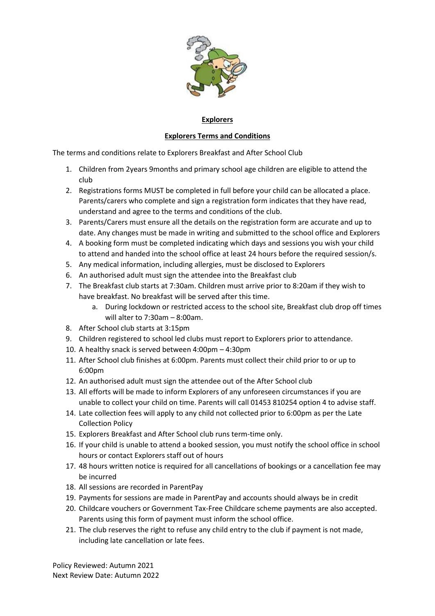

## **Explorers**

## **Explorers Terms and Conditions**

The terms and conditions relate to Explorers Breakfast and After School Club

- 1. Children from 2years 9months and primary school age children are eligible to attend the club
- 2. Registrations forms MUST be completed in full before your child can be allocated a place. Parents/carers who complete and sign a registration form indicates that they have read, understand and agree to the terms and conditions of the club.
- 3. Parents/Carers must ensure all the details on the registration form are accurate and up to date. Any changes must be made in writing and submitted to the school office and Explorers
- 4. A booking form must be completed indicating which days and sessions you wish your child to attend and handed into the school office at least 24 hours before the required session/s.
- 5. Any medical information, including allergies, must be disclosed to Explorers
- 6. An authorised adult must sign the attendee into the Breakfast club
- 7. The Breakfast club starts at 7:30am. Children must arrive prior to 8:20am if they wish to have breakfast. No breakfast will be served after this time.
	- a. During lockdown or restricted access to the school site, Breakfast club drop off times will alter to 7:30am – 8:00am.
- 8. After School club starts at 3:15pm
- 9. Children registered to school led clubs must report to Explorers prior to attendance.
- 10. A healthy snack is served between 4:00pm 4:30pm
- 11. After School club finishes at 6:00pm. Parents must collect their child prior to or up to 6:00pm
- 12. An authorised adult must sign the attendee out of the After School club
- 13. All efforts will be made to inform Explorers of any unforeseen circumstances if you are unable to collect your child on time. Parents will call 01453 810254 option 4 to advise staff.
- 14. Late collection fees will apply to any child not collected prior to 6:00pm as per the Late Collection Policy
- 15. Explorers Breakfast and After School club runs term-time only.
- 16. If your child is unable to attend a booked session, you must notify the school office in school hours or contact Explorers staff out of hours
- 17. 48 hours written notice is required for all cancellations of bookings or a cancellation fee may be incurred
- 18. All sessions are recorded in ParentPay
- 19. Payments for sessions are made in ParentPay and accounts should always be in credit
- 20. Childcare vouchers or Government Tax-Free Childcare scheme payments are also accepted. Parents using this form of payment must inform the school office.
- 21. The club reserves the right to refuse any child entry to the club if payment is not made, including late cancellation or late fees.

Policy Reviewed: Autumn 2021 Next Review Date: Autumn 2022